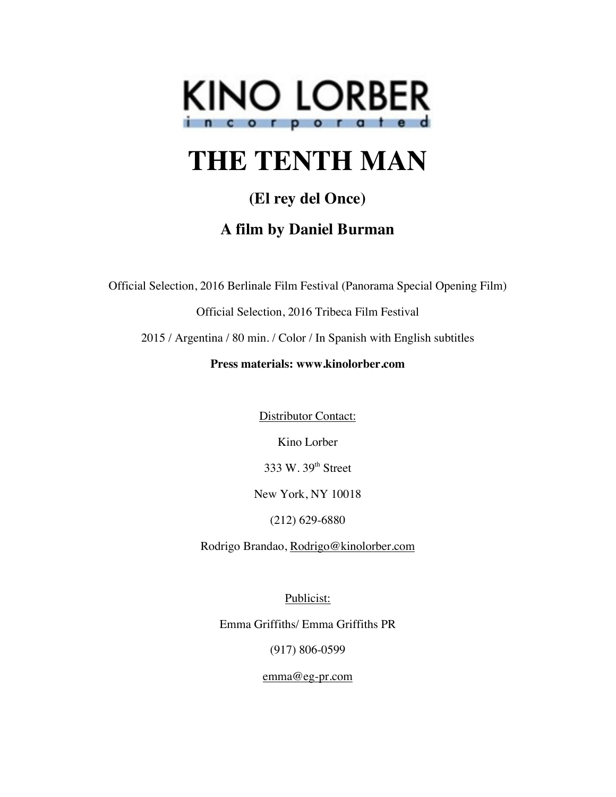

# **THE TENTH MAN**

# **(El rey del Once)**

# **A film by Daniel Burman**

Official Selection, 2016 Berlinale Film Festival (Panorama Special Opening Film)

Official Selection, 2016 Tribeca Film Festival

2015 / Argentina / 80 min. / Color / In Spanish with English subtitles

# **Press materials: www.kinolorber.com**

Distributor Contact:

Kino Lorber

333 W. 39th Street

New York, NY 10018

(212) 629-6880

Rodrigo Brandao, Rodrigo@kinolorber.com

Publicist:

Emma Griffiths/ Emma Griffiths PR

(917) 806-0599

emma@eg-pr.com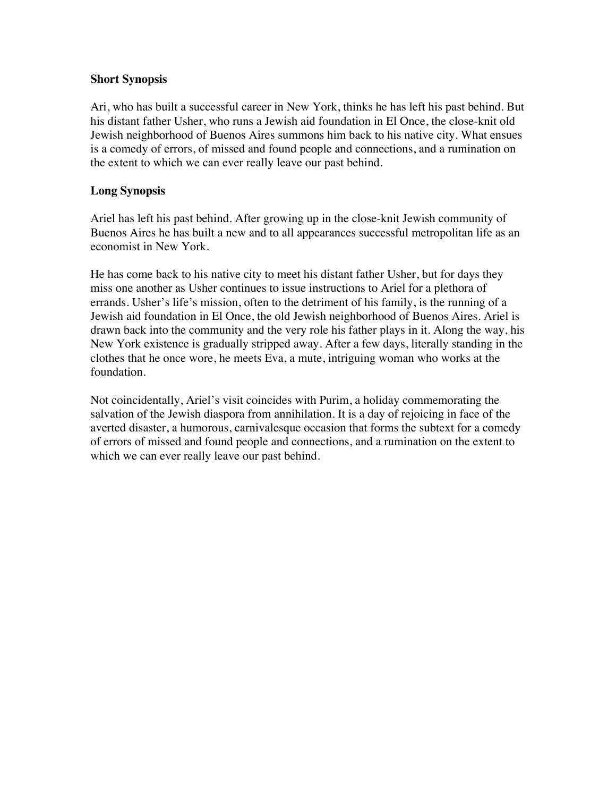#### **Short Synopsis**

Ari, who has built a successful career in New York, thinks he has left his past behind. But his distant father Usher, who runs a Jewish aid foundation in El Once, the close-knit old Jewish neighborhood of Buenos Aires summons him back to his native city. What ensues is a comedy of errors, of missed and found people and connections, and a rumination on the extent to which we can ever really leave our past behind.

#### **Long Synopsis**

Ariel has left his past behind. After growing up in the close-knit Jewish community of Buenos Aires he has built a new and to all appearances successful metropolitan life as an economist in New York.

He has come back to his native city to meet his distant father Usher, but for days they miss one another as Usher continues to issue instructions to Ariel for a plethora of errands. Usher's life's mission, often to the detriment of his family, is the running of a Jewish aid foundation in El Once, the old Jewish neighborhood of Buenos Aires. Ariel is drawn back into the community and the very role his father plays in it. Along the way, his New York existence is gradually stripped away. After a few days, literally standing in the clothes that he once wore, he meets Eva, a mute, intriguing woman who works at the foundation.

Not coincidentally, Ariel's visit coincides with Purim, a holiday commemorating the salvation of the Jewish diaspora from annihilation. It is a day of rejoicing in face of the averted disaster, a humorous, carnivalesque occasion that forms the subtext for a comedy of errors of missed and found people and connections, and a rumination on the extent to which we can ever really leave our past behind.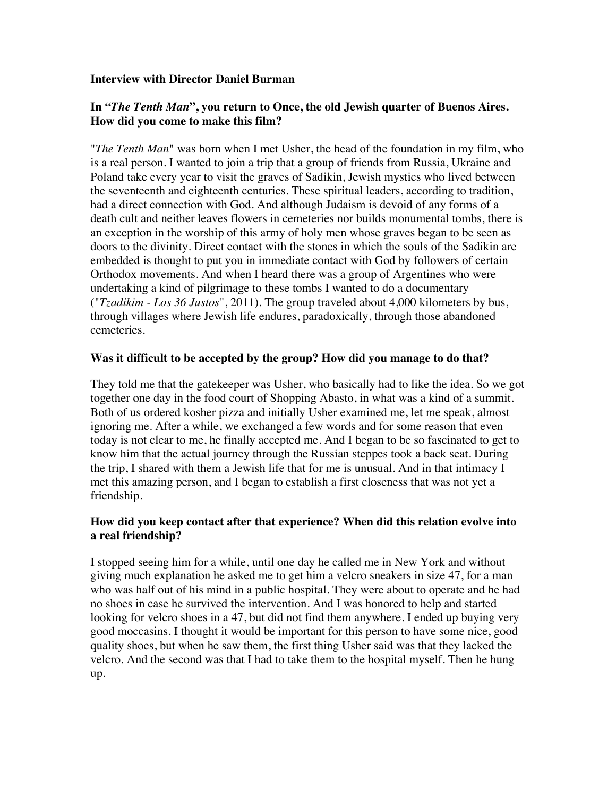#### **Interview with Director Daniel Burman**

# **In "***The Tenth Man***", you return to Once, the old Jewish quarter of Buenos Aires. How did you come to make this film?**

"*The Tenth Man*" was born when I met Usher, the head of the foundation in my film, who is a real person. I wanted to join a trip that a group of friends from Russia, Ukraine and Poland take every year to visit the graves of Sadikin, Jewish mystics who lived between the seventeenth and eighteenth centuries. These spiritual leaders, according to tradition, had a direct connection with God. And although Judaism is devoid of any forms of a death cult and neither leaves flowers in cemeteries nor builds monumental tombs, there is an exception in the worship of this army of holy men whose graves began to be seen as doors to the divinity. Direct contact with the stones in which the souls of the Sadikin are embedded is thought to put you in immediate contact with God by followers of certain Orthodox movements. And when I heard there was a group of Argentines who were undertaking a kind of pilgrimage to these tombs I wanted to do a documentary ("*Tzadikim - Los 36 Justos*", 2011). The group traveled about 4,000 kilometers by bus, through villages where Jewish life endures, paradoxically, through those abandoned cemeteries.

#### **Was it difficult to be accepted by the group? How did you manage to do that?**

They told me that the gatekeeper was Usher, who basically had to like the idea. So we got together one day in the food court of Shopping Abasto, in what was a kind of a summit. Both of us ordered kosher pizza and initially Usher examined me, let me speak, almost ignoring me. After a while, we exchanged a few words and for some reason that even today is not clear to me, he finally accepted me. And I began to be so fascinated to get to know him that the actual journey through the Russian steppes took a back seat. During the trip, I shared with them a Jewish life that for me is unusual. And in that intimacy I met this amazing person, and I began to establish a first closeness that was not yet a friendship.

# **How did you keep contact after that experience? When did this relation evolve into a real friendship?**

I stopped seeing him for a while, until one day he called me in New York and without giving much explanation he asked me to get him a velcro sneakers in size 47, for a man who was half out of his mind in a public hospital. They were about to operate and he had no shoes in case he survived the intervention. And I was honored to help and started looking for velcro shoes in a 47, but did not find them anywhere. I ended up buying very good moccasins. I thought it would be important for this person to have some nice, good quality shoes, but when he saw them, the first thing Usher said was that they lacked the velcro. And the second was that I had to take them to the hospital myself. Then he hung up.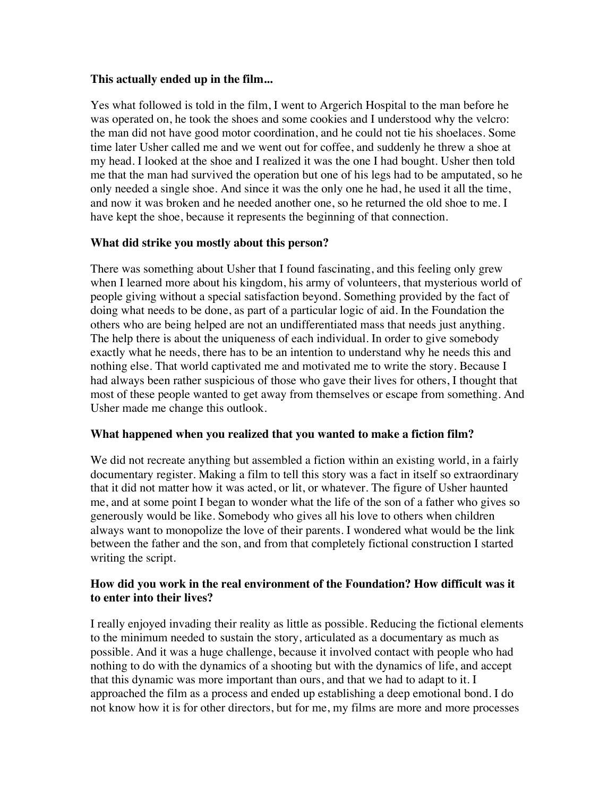#### **This actually ended up in the film...**

Yes what followed is told in the film, I went to Argerich Hospital to the man before he was operated on, he took the shoes and some cookies and I understood why the velcro: the man did not have good motor coordination, and he could not tie his shoelaces. Some time later Usher called me and we went out for coffee, and suddenly he threw a shoe at my head. I looked at the shoe and I realized it was the one I had bought. Usher then told me that the man had survived the operation but one of his legs had to be amputated, so he only needed a single shoe. And since it was the only one he had, he used it all the time, and now it was broken and he needed another one, so he returned the old shoe to me. I have kept the shoe, because it represents the beginning of that connection.

# **What did strike you mostly about this person?**

There was something about Usher that I found fascinating, and this feeling only grew when I learned more about his kingdom, his army of volunteers, that mysterious world of people giving without a special satisfaction beyond. Something provided by the fact of doing what needs to be done, as part of a particular logic of aid. In the Foundation the others who are being helped are not an undifferentiated mass that needs just anything. The help there is about the uniqueness of each individual. In order to give somebody exactly what he needs, there has to be an intention to understand why he needs this and nothing else. That world captivated me and motivated me to write the story. Because I had always been rather suspicious of those who gave their lives for others, I thought that most of these people wanted to get away from themselves or escape from something. And Usher made me change this outlook.

# **What happened when you realized that you wanted to make a fiction film?**

We did not recreate anything but assembled a fiction within an existing world, in a fairly documentary register. Making a film to tell this story was a fact in itself so extraordinary that it did not matter how it was acted, or lit, or whatever. The figure of Usher haunted me, and at some point I began to wonder what the life of the son of a father who gives so generously would be like. Somebody who gives all his love to others when children always want to monopolize the love of their parents. I wondered what would be the link between the father and the son, and from that completely fictional construction I started writing the script.

# **How did you work in the real environment of the Foundation? How difficult was it to enter into their lives?**

I really enjoyed invading their reality as little as possible. Reducing the fictional elements to the minimum needed to sustain the story, articulated as a documentary as much as possible. And it was a huge challenge, because it involved contact with people who had nothing to do with the dynamics of a shooting but with the dynamics of life, and accept that this dynamic was more important than ours, and that we had to adapt to it. I approached the film as a process and ended up establishing a deep emotional bond. I do not know how it is for other directors, but for me, my films are more and more processes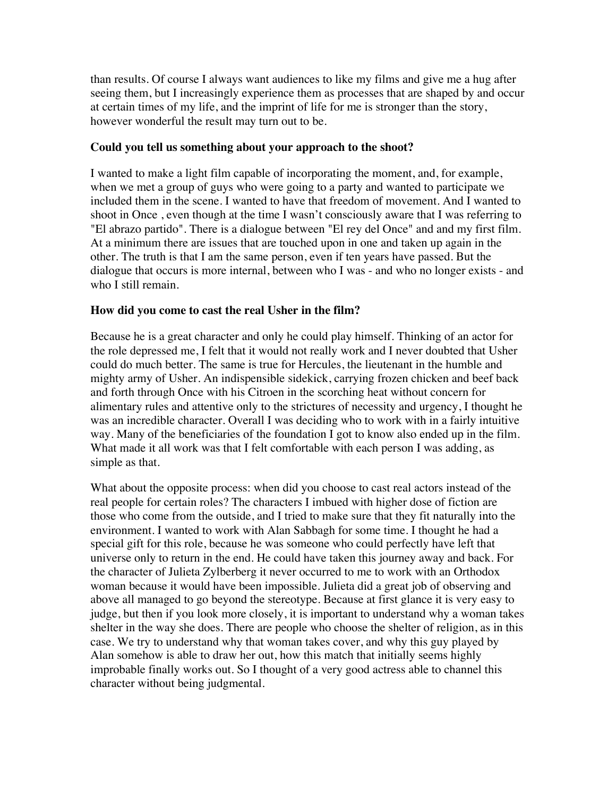than results. Of course I always want audiences to like my films and give me a hug after seeing them, but I increasingly experience them as processes that are shaped by and occur at certain times of my life, and the imprint of life for me is stronger than the story, however wonderful the result may turn out to be.

#### **Could you tell us something about your approach to the shoot?**

I wanted to make a light film capable of incorporating the moment, and, for example, when we met a group of guys who were going to a party and wanted to participate we included them in the scene. I wanted to have that freedom of movement. And I wanted to shoot in Once , even though at the time I wasn't consciously aware that I was referring to "El abrazo partido". There is a dialogue between "El rey del Once" and and my first film. At a minimum there are issues that are touched upon in one and taken up again in the other. The truth is that I am the same person, even if ten years have passed. But the dialogue that occurs is more internal, between who I was - and who no longer exists - and who I still remain.

# **How did you come to cast the real Usher in the film?**

Because he is a great character and only he could play himself. Thinking of an actor for the role depressed me, I felt that it would not really work and I never doubted that Usher could do much better. The same is true for Hercules, the lieutenant in the humble and mighty army of Usher. An indispensible sidekick, carrying frozen chicken and beef back and forth through Once with his Citroen in the scorching heat without concern for alimentary rules and attentive only to the strictures of necessity and urgency, I thought he was an incredible character. Overall I was deciding who to work with in a fairly intuitive way. Many of the beneficiaries of the foundation I got to know also ended up in the film. What made it all work was that I felt comfortable with each person I was adding, as simple as that.

What about the opposite process: when did you choose to cast real actors instead of the real people for certain roles? The characters I imbued with higher dose of fiction are those who come from the outside, and I tried to make sure that they fit naturally into the environment. I wanted to work with Alan Sabbagh for some time. I thought he had a special gift for this role, because he was someone who could perfectly have left that universe only to return in the end. He could have taken this journey away and back. For the character of Julieta Zylberberg it never occurred to me to work with an Orthodox woman because it would have been impossible. Julieta did a great job of observing and above all managed to go beyond the stereotype. Because at first glance it is very easy to judge, but then if you look more closely, it is important to understand why a woman takes shelter in the way she does. There are people who choose the shelter of religion, as in this case. We try to understand why that woman takes cover, and why this guy played by Alan somehow is able to draw her out, how this match that initially seems highly improbable finally works out. So I thought of a very good actress able to channel this character without being judgmental.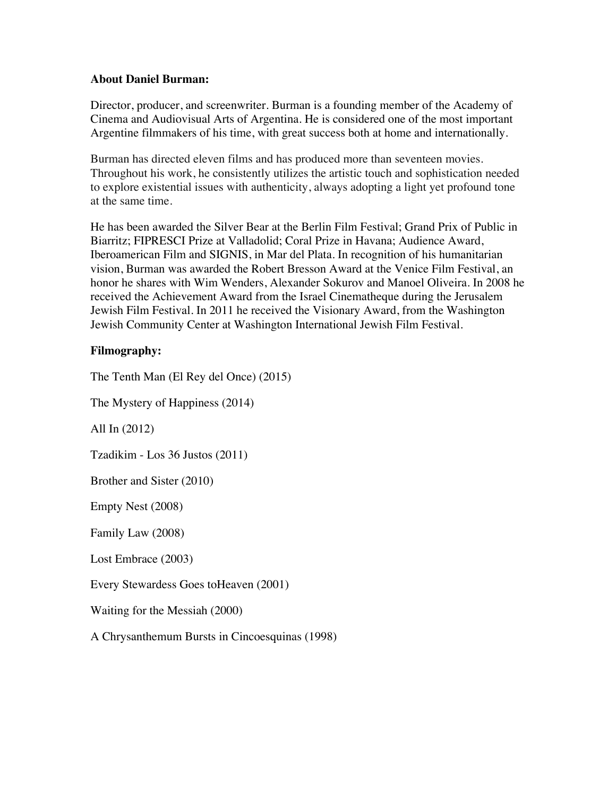#### **About Daniel Burman:**

Director, producer, and screenwriter. Burman is a founding member of the Academy of Cinema and Audiovisual Arts of Argentina. He is considered one of the most important Argentine filmmakers of his time, with great success both at home and internationally.

Burman has directed eleven films and has produced more than seventeen movies. Throughout his work, he consistently utilizes the artistic touch and sophistication needed to explore existential issues with authenticity, always adopting a light yet profound tone at the same time.

He has been awarded the Silver Bear at the Berlin Film Festival; Grand Prix of Public in Biarritz; FIPRESCI Prize at Valladolid; Coral Prize in Havana; Audience Award, Iberoamerican Film and SIGNIS, in Mar del Plata. In recognition of his humanitarian vision, Burman was awarded the Robert Bresson Award at the Venice Film Festival, an honor he shares with Wim Wenders, Alexander Sokurov and Manoel Oliveira. In 2008 he received the Achievement Award from the Israel Cinematheque during the Jerusalem Jewish Film Festival. In 2011 he received the Visionary Award, from the Washington Jewish Community Center at Washington International Jewish Film Festival.

# **Filmography:**

The Tenth Man (El Rey del Once) (2015) The Mystery of Happiness (2014) All In (2012) Tzadikim - Los 36 Justos (2011) Brother and Sister (2010) Empty Nest (2008) Family Law (2008) Lost Embrace (2003) Every Stewardess Goes toHeaven (2001) Waiting for the Messiah (2000) A Chrysanthemum Bursts in Cincoesquinas (1998)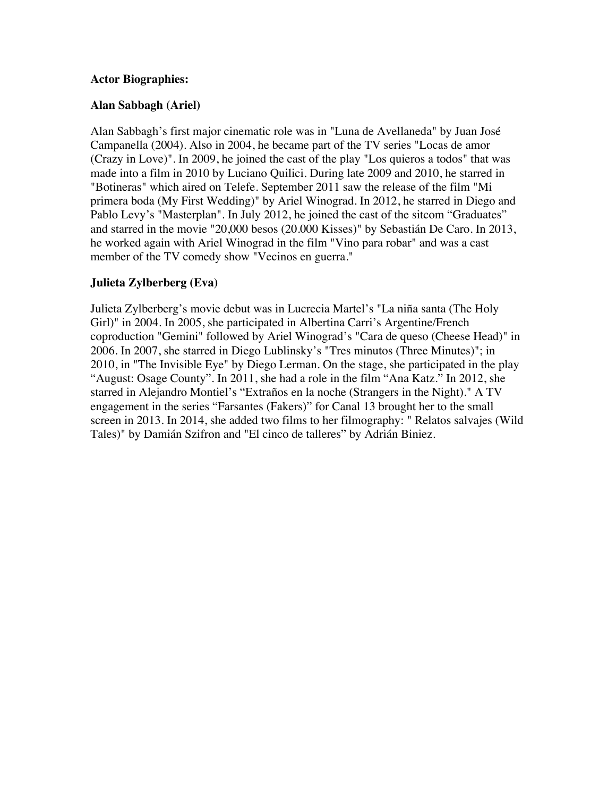#### **Actor Biographies:**

#### **Alan Sabbagh (Ariel)**

Alan Sabbagh's first major cinematic role was in "Luna de Avellaneda" by Juan José Campanella (2004). Also in 2004, he became part of the TV series "Locas de amor (Crazy in Love)". In 2009, he joined the cast of the play "Los quieros a todos" that was made into a film in 2010 by Luciano Quilici. During late 2009 and 2010, he starred in "Botineras" which aired on Telefe. September 2011 saw the release of the film "Mi primera boda (My First Wedding)" by Ariel Winograd. In 2012, he starred in Diego and Pablo Levy's "Masterplan". In July 2012, he joined the cast of the sitcom "Graduates" and starred in the movie "20,000 besos (20.000 Kisses)" by Sebastián De Caro. In 2013, he worked again with Ariel Winograd in the film "Vino para robar" and was a cast member of the TV comedy show "Vecinos en guerra."

#### **Julieta Zylberberg (Eva)**

Julieta Zylberberg's movie debut was in Lucrecia Martel's "La niña santa (The Holy Girl)" in 2004. In 2005, she participated in Albertina Carri's Argentine/French coproduction "Gemini" followed by Ariel Winograd's "Cara de queso (Cheese Head)" in 2006. In 2007, she starred in Diego Lublinsky's "Tres minutos (Three Minutes)"; in 2010, in "The Invisible Eye" by Diego Lerman. On the stage, she participated in the play "August: Osage County". In 2011, she had a role in the film "Ana Katz." In 2012, she starred in Alejandro Montiel's "Extraños en la noche (Strangers in the Night)." A TV engagement in the series "Farsantes (Fakers)" for Canal 13 brought her to the small screen in 2013. In 2014, she added two films to her filmography: " Relatos salvajes (Wild Tales)" by Damián Szifron and "El cinco de talleres" by Adrián Biniez.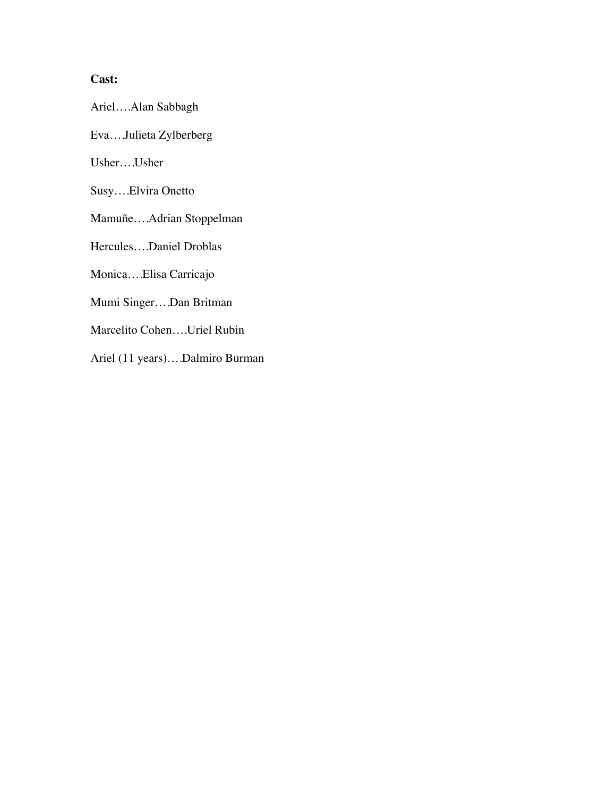# **Cast:**

Ariel….Alan Sabbagh

Eva….Julieta Zylberberg

Usher….Usher

Susy….Elvira Onetto

Mamuñe….Adrian Stoppelman

Hercules….Daniel Droblas

Monica….Elisa Carricajo

Mumi Singer….Dan Britman

Marcelito Cohen….Uriel Rubin

Ariel (11 years)….Dalmiro Burman